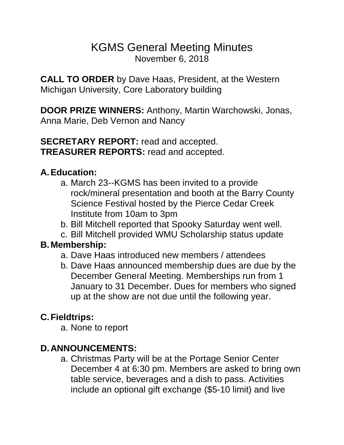# KGMS General Meeting Minutes November 6, 2018

**CALL TO ORDER** by Dave Haas, President, at the Western Michigan University, Core Laboratory building

**DOOR PRIZE WINNERS:** Anthony, Martin Warchowski, Jonas, Anna Marie, Deb Vernon and Nancy

**SECRETARY REPORT:** read and accepted. **TREASURER REPORTS:** read and accepted.

#### **A.Education:**

- a. March 23--KGMS has been invited to a provide rock/mineral presentation and booth at the Barry County Science Festival hosted by the Pierce Cedar Creek Institute from 10am to 3pm
- b. Bill Mitchell reported that Spooky Saturday went well.
- c. Bill Mitchell provided WMU Scholarship status update

## **B.Membership:**

- a. Dave Haas introduced new members / attendees
- b. Dave Haas announced membership dues are due by the December General Meeting. Memberships run from 1 January to 31 December. Dues for members who signed up at the show are not due until the following year.

## **C.Fieldtrips:**

a. None to report

## **D.ANNOUNCEMENTS:**

a. Christmas Party will be at the Portage Senior Center December 4 at 6:30 pm. Members are asked to bring own table service, beverages and a dish to pass. Activities include an optional gift exchange (\$5-10 limit) and live